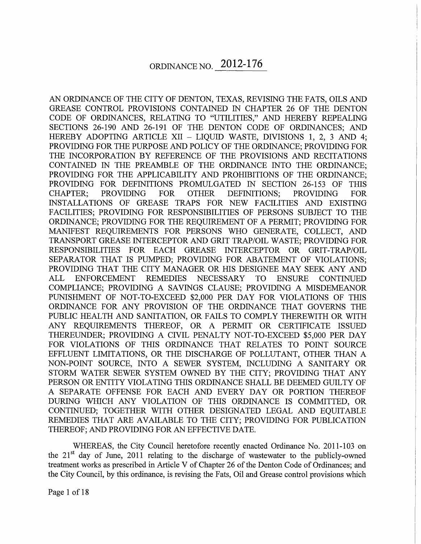AN ORDINANCE OF THE CITY OF DENTON, TEXAS, REVISING THE FATS, OILS AND GREASE CONTROL PROVISIONS CONTAINED IN CHAPTER 26 OF THE DENTON CODE OF ORDINANCES, RELATING TO "UTILITIES," AND HEREBY REPEALING SECTIONS 26-190 AND 26-191 OF THE DENTON CODE OF ORDINANCES; AND HEREBY ADOPTING ARTICLE XII - LIQUID WASTE, DIVISIONS 1, 2, 3 AND 4; PROVIDING FOR THE PURPOSE AND POLICY OF THE ORDINANCE; PROVIDING FOR THE INCORPORATION BY REFERENCE OF THE PROVISIONS AND RECITATIONS CONTAINED IN THE PREAMBLE OF THE ORDINANCE INTO THE ORDINANCE; PROVIDING FOR THE APPLICABILITY AND PROHIBITIONS OF THE ORDINANCE; PROVIDING FOR DEFINITIONS PROMULGATED IN SECTION 26-153 OF THIS CHAPTER; PROVIDING FOR OTHER DEFINITIONS; PROVIDING FOR INSTALLATIONS OF GREASE TRAPS FOR NEW FACILITIES AND EXISTING FACILITIES; PROVIDING FOR RESPONSIBILITIES OF PERSONS SUBJECT TO THE ORDINANCE; PROVIDING FOR THE REQUIREMENT OF A PERMIT; PROVIDING FOR MANIFEST REQUIREMENTS FOR PERSONS WHO GENERATE, COLLECT, AND TRANSPORT GREASE INTERCEPTOR AND GRIT TRAP/OIL WASTE; PROVIDING FOR RESPONSIBILITIES FOR EACH GREASE INTERCEPTOR OR GRIT-TRAP/OIL SEPARATOR THAT IS PUMPED; PROVIDING FOR ABATEMENT OF VIOLATIONS; PROVIDING THAT THE CITY MANAGER OR HIS DESIGNEE MAY SEEK ANY AND ALL ENFORCEMENT REMEDIES NECESSARY TO ENSURE CONTINUED COMPLIANCE; PROVIDING A SAVINGS CLAUSE; PROVIDING A MISDEMEANOR PUNISHMENT OF NOT-TO-EXCEED \$2,000 PER DAY FOR VIOLATIONS OF THIS ORDINANCE FOR ANY PROVISION OF THE ORDINANCE THAT GOVERNS THE PUBLIC HEALTH AND SANITATION, OR FAILS TO COMPLY THEREWITH OR WITH ANY REQUIREMENTS THEREOF, OR A PERMIT OR CERTIFICATE ISSUED THEREUNDER; PROVIDING A CIVIL PENALTY NOT-TO-EXCEED \$5,000 PER DAY FOR VIOLATIONS OF THIS ORDINANCE THAT RELATES TO POINT SOURCE EFFLUENT LIMITATIONS, OR THE DISCHARGE OF POLLUTANT, OTHER THAN A NON-POINT SOURCE, INTO A SEWER SYSTEM, INCLUDING A SANITARY OR STORM WATER SEWER SYSTEM OWNED BY THE CITY; PROVIDING THAT ANY PERSON OR ENTITY VIOLATING THIS ORDINANCE SHALL BE DEEMED GUILTY OF A SEPARATE OFFENSE FOR EACH AND EVERY DAY OR PORTION THEREOF DURING WHICH ANY VIOLATION OF THIS ORDINANCE IS COMMITTED, OR CONTINUED; TOGETHER WITH OTHER DESIGNATED LEGAL AND EQUITABLE REMEDIES THAT ARE AVAILABLE TO THE CITY; PROVIDING FOR PUBLICATION THEREOF; AND PROVIDING FOR AN EFFECTIVE DATE.

WHEREAS, the City Council heretofore recently enacted Ordinance No. 2011-103 on the  $21<sup>st</sup>$  day of June, 2011 relating to the discharge of wastewater to the publicly-owned treatment works as prescribed in Article V of Chapter 26 of the Denton Code of Ordinances; and the City Council, by this ordinance, is revising the Fats, Oil and Grease control provisions which

Page 1 of 18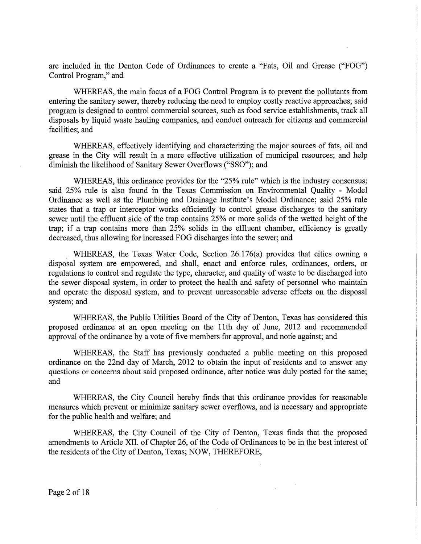are included in the Denton Code of Ordinances to create a "Fats, Oil and Grease ("FOG") Control Program," and

WHEREAS, the main focus of a FOG Control Program is to prevent the pollutants from entering the sanitary sewer, thereby reducing the need to employ costly reactive approaches; said program is designed to control commercial sources, such as food service establishments, track all disposals by liquid waste hauling companies, and conduct outreach for citizens and commercial facilities; and

WHEREAS, effectively identifying and characterizing the major sources of fats, oil and grease in the City will result in a more effective utilization of municipal resources; and help diminish the likelihood of Sanitary Sewer Overflows ("SSO"); and

WHEREAS, this ordinance provides for the "25% rule" which is the industry consensus; said 25% rule is also found in the Texas Commission on Environmental Quality - Model Ordinance as well as the Plumbing and Drainage Institute's Model Ordinance; said 25% rule states that a trap or interceptor works efficiently to control grease discharges to the sanitary sewer until the effluent side of the trap contains 25% or more solids of the wetted height of the trap; if a trap contains more than 25% solids in the effluent chamber, efficiency is greatly decreased, thus allowing for increased FOG discharges into the sewer; and

. WHEREAS, the Texas Water Code, Section 26.176(a) provides that cities owning a disposal system are empowered, and shall, enact and enforce rules, ordinances, orders, or regulations to control and regulate the type, character, and quality of waste to be discharged into the sewer disposal system, in order to protect the health and safety of personnel who maintain and operate the disposal system, and to prevent unreasonable adverse effects on the disposal system; and

WHEREAS, the Public Utilities Board of the City of Denton, Texas has considered this proposed ordinance at an open meeting on the 11th day of June, 2012 and recommended approval of the ordinance by a vote of five members for approval, and none against; and

WHEREAS, the Staff has previously conducted a public meeting on this proposed ordinance on the 22nd day of March, 2012 to obtain the input of residents and to answer any questions or concerns about said proposed ordinance, after notice was duly posted for the same; and

WHEREAS, the City Council hereby finds that this ordinance provides for reasonable measures which prevent or minimize sanitary sewer overflows, and is necessary and appropriate for the public health and welfare; and

WHEREAS, the City Council of the City of Denton, Texas finds that the proposed amendments to Article XII. of Chapter 26, of the Code of Ordinances to be in the best interest of the residents of the City of Denton, Texas; NOW, THEREFORE,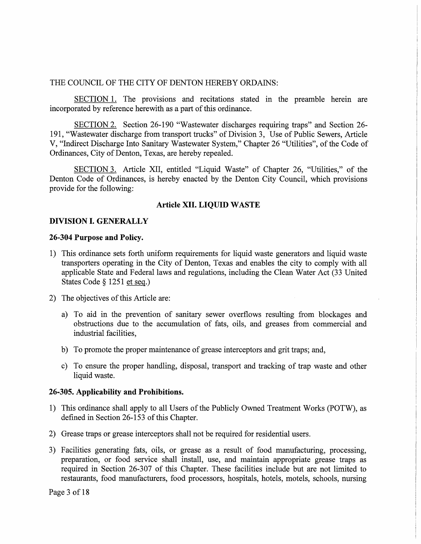#### THE COUNCIL OF THE CITY OF DENTON HEREBY ORDAINS:

SECTION 1. The provisions and recitations stated in the preamble herein are incorporated by reference herewith as a part of this ordinance.

SECTION 2. Section 26-190 "Wastewater discharges requiring traps" and Section 26- 191, "Wastewater discharge from transport trucks" of Division 3, Use of Public Sewers, Article V, "Indirect Discharge Into Sanitary Wastewater System," Chapter 26 "Utilities", of the Code of Ordinances, City of Denton, Texas, are hereby repealed.

SECTION 3. Article XII, entitled "Liquid Waste" of Chapter 26, "Utilities," of the Denton Code of Ordinances, is hereby enacted by the Denton City Council, which provisions provide for the following:

## **Article XII. LIQUID WASTE**

## **DIVISION I. GENERALLY**

#### **26-304 Purpose and Policy.**

- 1) This ordinance sets forth uniform requirements for liquid waste generators and liquid waste transporters operating in the City of Denton, Texas and enables the city to comply with all applicable State and Federal laws and regulations, including the Clean Water Act (33 United States Code § 1251 et seq.)
- 2) The objectives of this Article are:
	- a) To aid in the prevention of sanitary sewer overflows resulting from blockages and obstructions due to the accumulation of fats, oils, and greases from commercial and industrial facilities,
	- b) To promote the proper maintenance of grease interceptors and grit traps; and,
	- c) To ensure the proper handling, disposal, transport and tracking of trap waste and other liquid waste.

#### **26-305. Applicability and Prohibitions.**

- 1) This ordinance shall apply to all Users of the Publicly Owned Treatment Works (POTW), as defined in Section 26-153 of this Chapter.
- 2) Grease traps or grease interceptors shall not be required for residential users.
- 3) Facilities generating fats, oils, or grease as a result of food manufacturing, processing, preparation, or food service shall install, use, and maintain appropriate grease traps as required in Section 26-307 of this Chapter. These facilities include but are not limited to restaurants, food manufacturers, food processors, hospitals, hotels, motels, schools, nursing

Page 3 of 18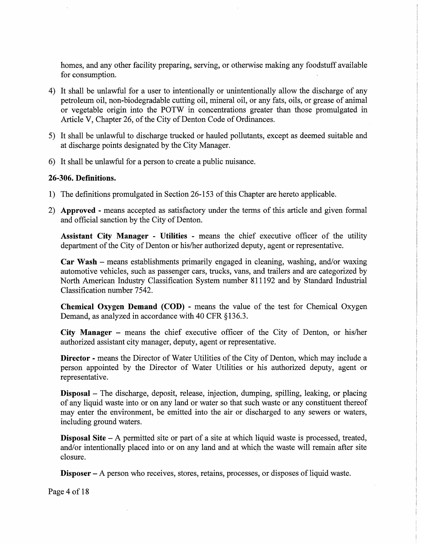homes, and any other facility preparing, serving, or otherwise making any foodstuff available for consumption.

- 4) It shall be unlawful for a user to intentionally or unintentionally allow the discharge of any petroleum oil, non-biodegradable cutting oil, mineral oil, or any fats, oils, or grease of animal or vegetable origin into the POTW in concentrations greater than those promulgated in Article V, Chapter 26, of the City of Denton Code of Ordinances.
- 5) It shall be unlawful to discharge trucked or hauled pollutants, except as deemed suitable and at discharge points designated by the City Manager.
- 6) It shall be unlawful for a person to create a public nuisance.

## **26-306. Definitions.**

- 1) The definitions promulgated in Section 26-153 of this Chapter are hereto applicable.
- 2) **Approved -** means accepted as satisfactory under the terms of this article and given formal and official sanction by the City of Denton.

**Assistant City Manager - Utilities -** means the chief executive officer of the utility department of the City of Denton or his/her authorized deputy, agent or representative.

**Car Wash** – means establishments primarily engaged in cleaning, washing, and/or waxing automotive vehicles, such as passenger cars, trucks, vans, and trailers and are categorized by North American Industry Classification System number 811192 and by Standard Industrial Classification number 7542.

**Chemical Oxygen Demand (COD) -** means the value of the test for Chemical Oxygen Demand, as analyzed in accordance with 40 CFR §136.3.

**City Manager** - means the chief executive officer of the City of Denton, or his/her authorized assistant city manager, deputy, agent or representative.

**Director -** means the Director of Water Utilities of the City of Denton, which may include a person appointed by the Director of Water Utilities or his authorized deputy, agent or representative.

**Disposal** - The discharge, deposit, release, injection, dumping, spilling, leaking, or placing of any liquid waste into or on any land or water so that such waste or any constituent thereof may enter the environment, be emitted into the air or discharged to any sewers or waters, including ground waters.

**Disposal Site** - A permitted site or part of a site at which liquid waste is processed, treated, and/or intentionally placed into or on any land and at which the waste will remain after site closure.

**Disposer** – A person who receives, stores, retains, processes, or disposes of liquid waste.

Page 4 of 18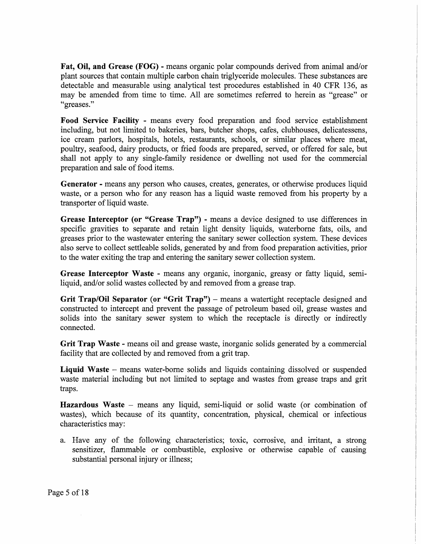Fat, Oil, and Grease (FOG) - means organic polar compounds derived from animal and/or plant sources that contain multiple carbon chain triglyceride molecules. These substances are detectable and measurable using analytical test procedures established in 40 CFR 136, as may be amended from time to time. All are sometimes referred to herein as "grease" or "greases."

Food Service Facility - means every food preparation and food service establishment including, but not limited to bakeries, bars, butcher shops, cafes, clubhouses, delicatessens, ice cream parlors, hospitals, hotels, restaurants, schools, or similar places where meat, poultry, seafood, dairy products, or fried foods are prepared, served, or offered for sale, but shall not apply to any single-family residence or dwelling not used for the commercial preparation and sale of food items.

Generator - means any person who causes, creates, generates, or otherwise produces liquid waste, or a person who for any reason has a liquid waste removed from his property by a transporter of liquid waste.

Grease Interceptor (or "Grease Trap") - means a device designed to use differences in specific gravities to separate and retain light density liquids, waterborne fats, oils, and greases prior to the wastewater entering the sanitary sewer collection system. These devices also serve to collect settleable solids, generated by and from food preparation activities, prior to the water exiting the trap and entering the sanitary sewer collection system.

Grease Interceptor Waste - means any organic, inorganic, greasy or fatty liquid, semiliquid, and/or solid wastes collected by and removed from a grease trap.

Grit Trap/Oil Separator (or "Grit Trap") – means a watertight receptacle designed and constructed to intercept and prevent the passage of petroleum based oil, grease wastes and solids into the sanitary sewer system to which the receptacle is directly or indirectly connected.

Grit Trap Waste - means oil and grease waste, inorganic solids generated by a commercial facility that are collected by and removed from a grit trap.

Liquid Waste – means water-borne solids and liquids containing dissolved or suspended waste material including but not limited to septage and wastes from grease traps and grit traps.

Hazardous Waste – means any liquid, semi-liquid or solid waste (or combination of wastes), which because of its quantity, concentration, physical, chemical or infectious characteristics may:

a. Have any of the following characteristics; toxic, corrosive, and irritant, a strong sensitizer, flammable or combustible, explosive or otherwise capable of causing substantial personal injury or illness;

Page 5 of 18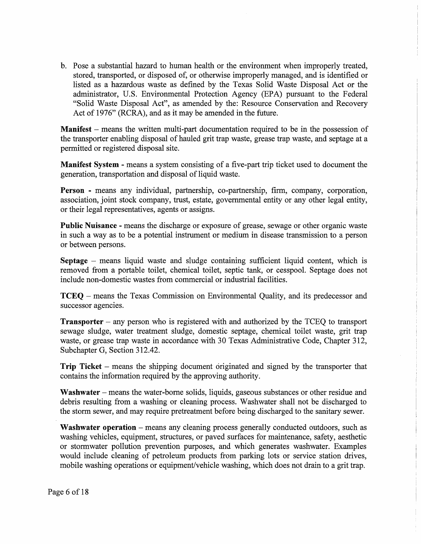b. Pose a substantial hazard to human health or the environment when improperly treated, stored, transported, or disposed of, or otherwise improperly managed, and is identified or listed as a hazardous waste as defined by the Texas Solid Waste Disposal Act or the administrator, U.S. Environmental Protection Agency (EPA) pursuant to the Federal "Solid Waste Disposal Act", as amended by the: Resource Conservation and Recovery Act of 1976" (RCRA), and as it may be amended in the future.

**Manifest** - means the written multi-part documentation required to be in the possession of the transporter enabling disposal of hauled grit trap waste, grease trap waste, and septage at a permitted or registered disposal site.

**Manifest System -** means a system consisting of a five-part trip ticket used to document the generation, transportation and disposal of liquid waste.

**Person -** means any individual, partnership, co-partnership, firm, company, corporation, association, joint stock company, trust, estate, governmental entity or any other legal entity, or their legal representatives, agents or assigns.

**Public Nuisance -** means the discharge or exposure of grease, sewage or other organic waste in such a way as to be a potential instrument or medium in disease transmission to a person or between persons.

**Septage** - means liquid waste and sludge containing sufficient liquid content, which is removed from a portable toilet, chemical toilet, septic tank, or cesspool. Septage does not include non-domestic wastes from commercial or industrial facilities.

**TCEQ** - means the Texas Commission on Environmental Quality, and its predecessor and successor agencies.

**Transporter** – any person who is registered with and authorized by the TCEQ to transport sewage sludge, water treatment sludge, domestic septage, chemical toilet waste, grit trap waste, or grease trap waste in accordance with 30 Texas Administrative Code, Chapter 312, Subchapter G, Section 312.42.

**Trip Ticket** – means the shipping document originated and signed by the transporter that contains the information required by the approving authority.

Washwater – means the water-borne solids, liquids, gaseous substances or other residue and debris resulting from a washing or cleaning process. Washwater shall not be discharged to the storm sewer, and may require pretreatment before being discharged to the sanitary sewer.

**Washwater operation** – means any cleaning process generally conducted outdoors, such as washing vehicles, equipment, structures, or paved surfaces for maintenance, safety, aesthetic or stormwater pollution prevention purposes, and which generates washwater. Examples would include cleaning of petroleum products from parking lots or service station drives, mobile washing operations or equipment/vehicle washing, which does not drain to a grit trap.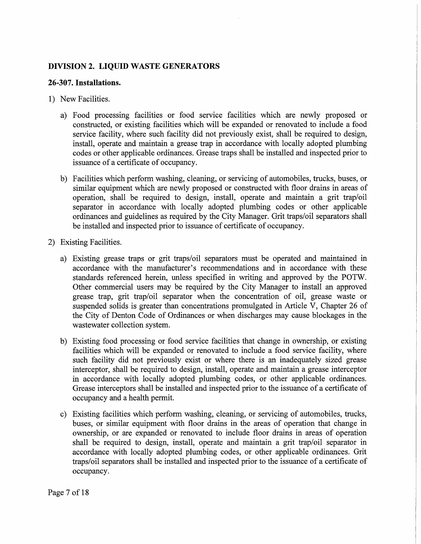# **DIVISION 2. LIQUID WASTE GENERATORS**

# **26-307. Installations.**

- 1) New Facilities.
	- a) Food processing facilities or food service facilities which are newly proposed or constructed, or existing facilities which will be expanded or renovated to include a food service facility, where such facility did not previously exist, shall be required to design, install, operate and maintain a grease trap in accordance with locally adopted plumbing codes or other applicable ordinances. Grease traps shall be installed and inspected prior to issuance of a certificate of occupancy.
	- b) Facilities which perform washing, cleaning, or servicing of automobiles, trucks, buses, or similar equipment which are newly proposed or constructed with floor drains in areas of operation, shall be required to design, install, operate and maintain a grit trap/oil separator in accordance with locally adopted plumbing codes or other applicable ordinances and guidelines as required by the City Manager. Grit traps/oil separators shall be installed and inspected prior to issuance of certificate of occupancy.
- 2) Existing Facilities.
	- a) Existing grease traps or grit traps/oil separators must be operated and maintained in accordance with the manufacturer's recommendations and in accordance with these standards referenced herein, unless specified in writing and approved by the POTW. Other commercial users may be required by the City Manager to install an approved grease trap, grit trap/oil separator when the concentration of oil, grease waste or suspended solids is greater than concentrations promulgated in Article V, Chapter 26 of the City of Denton Code of Ordinances or when discharges may cause blockages in the wastewater collection system.
	- b) Existing food processing or food service facilities that change in ownership, or existing facilities which will be expanded or renovated to include a food service facility, where such facility did not previously exist or where there is an inadequately sized grease interceptor, shall be required to design, install, operate and maintain a grease interceptor in accordance with locally adopted plumbing codes, or other applicable ordinances. Grease interceptors shall be installed and inspected prior to the issuance of a certificate of occupancy and a health permit.
	- c) Existing facilities which perform washing, cleaning, or servicing of automobiles, trucks, buses, or similar equipment with floor drains in the areas of operation that change in ownership, or are expanded or renovated to include floor drains in areas of operation shall be required to design, install, operate and maintain a grit trap/oil separator in accordance with locally adopted plumbing codes, or other applicable ordinances. Grit traps/oil separators shall be installed and inspected prior to the issuance of a certificate of occupancy.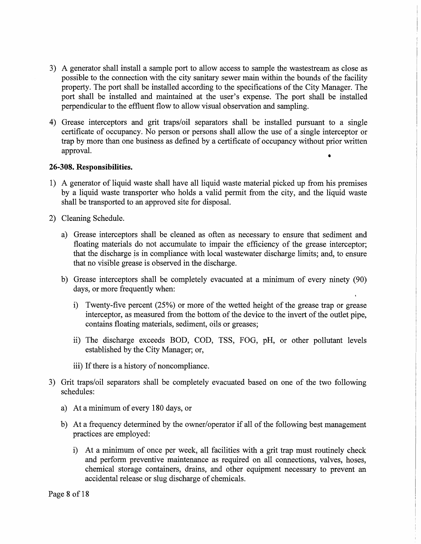- 3) A generator shall install a sample port to allow access to sample the wastestream as close as possible to the connection with the city sanitary sewer main within the bounds of the facility property. The port shall be installed according to the specifications of the City Manager. The port shall be installed and maintained at the user's expense. The port shall be installed perpendicular to the effluent flow to allow visual observation and sampling.
- 4) Grease interceptors and grit traps/oil separators shall be installed pursuant to a single certificate of occupancy. No person or persons shall allow the use of a single interceptor or trap by more than one business as defined by a certificate of occupancy without prior written approval.

## **26-308. Responsibilities.**

- 1) A generator of liquid waste shall have all liquid waste material picked up from his premises by a liquid waste transporter who holds a valid permit from the city, and the liquid waste shall be transported to an approved site for disposal.
- 2) Cleaning Schedule.
	- a) Grease interceptors shall be cleaned as often as necessary to ensure that sediment and floating materials do not accumulate to impair the efficiency of the grease interceptor; that the discharge is in compliance with local wastewater discharge limits; and, to ensure that no visible grease is observed in the discharge.
	- b) Grease interceptors shall be completely evacuated at a minimum of every ninety (90) days, or more frequently when:
		- i) Twenty-five percent (25%) or more of the wetted height of the grease trap or grease interceptor, as measured from the bottom of the device to the invert of the outlet pipe, contains floating materials, sediment, oils or greases;
		- ii) The discharge exceeds BOD, COD, TSS, FOG, pH, or other pollutant levels established by the City Manager; or,
		- iii) If there is a history of noncompliance.
- 3) Grit traps/oil separators shall be completely evacuated based on one of the two following schedules:
	- a) At a minimum of every 180 days, or
	- b) At a frequency determined by the owner/operator if all of the following best management practices are employed:
		- i) At a minimum of once per week, all facilities with a grit trap must routinely check and perform preventive maintenance as required on all connections, valves, hoses, chemical storage containers, drains, and other equipment necessary to prevent an accidental release or slug discharge of chemicals.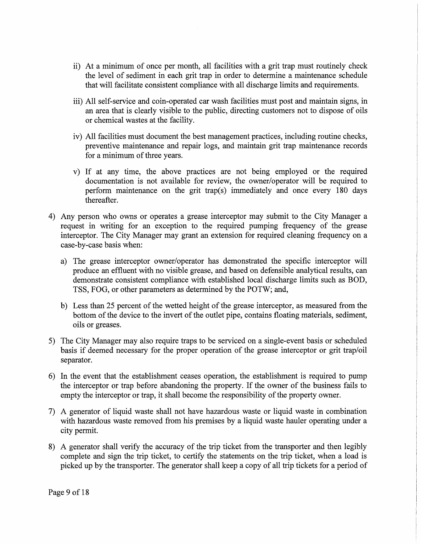- ii) At a minimum of once per month, all facilities with a grit trap must routinely check the level of sediment in each grit trap in order to determine a maintenance schedule that will facilitate consistent compliance with all discharge limits and requirements.
- iii) All self-service and coin-operated car wash facilities must post and maintain signs, in an area that is clearly visible to the public, directing customers not to dispose of oils or chemical wastes at the facility.
- iv) All facilities must document the best management practices, including routine checks, preventive maintenance and repair logs, and maintain grit trap maintenance records for a minimum of three years.
- v) If at any time, the above practices are not being employed or the required documentation is not available for review, the owner/operator will be required to perform maintenance on the grit trap(s) immediately and once every 180 days thereafter.
- 4) Any person who owns or operates a grease interceptor may submit to the City Manager a request in writing for an exception to the required pumping frequency of the grease interceptor. The City Manager may grant an extension for required cleaning frequency on a case-by-case basis when:
	- a) The grease interceptor owner/operator has demonstrated the specific interceptor will produce an effluent with no visible grease, and based on defensible analytical results, can demonstrate consistent compliance with established local discharge limits such as BOD, TSS, FOG, or other parameters as determined by the POTW; and,
	- b) Less than 25 percent of the wetted height of the grease interceptor, as measured from the bottom of the device to the invert of the outlet pipe, contains floating materials, sediment, oils or greases.
- 5) The City Manager may also require traps to be serviced on a single-event basis or scheduled basis if deemed necessary for the proper operation of the grease interceptor or grit trap/oil separator.
- 6) In the event that the establishment ceases operation, the establishment is required to pump the interceptor or trap before abandoning the property. If the owner of the business fails to empty the interceptor or trap, it shall become the responsibility of the property owner.
- 7) A generator of liquid waste shall not have hazardous waste or liquid waste in combination with hazardous waste removed from his premises by a liquid waste hauler operating under a city permit.
- 8) A generator shall verify the accuracy of the trip ticket from the transporter and then legibly complete and sign the trip ticket, to certify the statements on the trip ticket, when a load is picked up by the transporter. The generator shall keep a copy of all trip tickets for a period of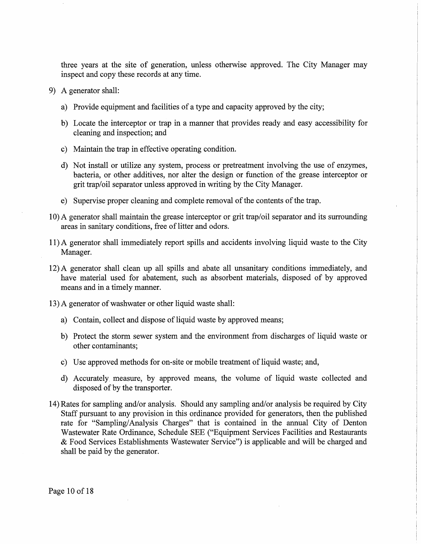three years at the site of generation, unless otherwise approved. The City Manager may inspect and copy these records at any time.

- 9) A generator shall:
	- a) Provide equipment and facilities of a type and capacity approved by the city;
	- b) Locate the interceptor or trap in a manner that provides ready and easy accessibility for cleaning and inspection; and
	- c) Maintain the trap in effective operating condition.
	- d) Not install or utilize any system, process or pretreatment involving the use of enzymes, bacteria, or other additives, nor alter the design or function of the grease interceptor or grit trap/oil separator unless approved in writing by the City Manager.
	- e) Supervise proper cleaning and complete removal of the contents of the trap.
- 10) A generator shall maintain the grease interceptor or grit trap/oil separator and its surrounding areas in sanitary conditions, free of litter and odors.
- 11) A generator shall immediately report spills and accidents involving liquid waste to the City Manager.
- 12) A generator shall clean up all spills and abate all unsanitary conditions immediately, and have material used for abatement, such as absorbent materials, disposed of by approved means and in a timely manner.
- 13) A generator of washwater or other liquid waste shall:
	- a) Contain, collect and dispose of liquid waste by approved means;
	- b) Protect the storm sewer system and the environment from discharges of liquid waste or other contaminants;
	- c) Use approved methods for on-site or mobile treatment of liquid waste; and,
	- d) Accurately. measure, by approved means, the volume of liquid waste collected and disposed of by the transporter.
- 14) Rates for sampling and/or analysis. Should any sampling and/or analysis be required by City Staff pursuant to any provision in this ordinance provided for generators, then the published rate for "Sampling/Analysis Charges" that is contained in the annual City of Denton Wastewater Rate Ordinance, Schedule SEE ("Equipment Services Facilities and Restaurants & Food Services Establishments Wastewater Service") is applicable and will be charged and shall be paid by the generator.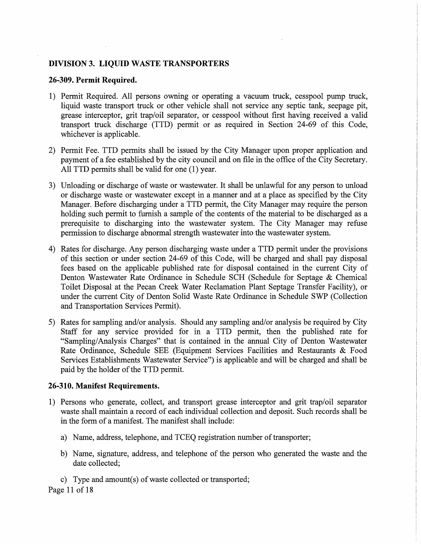## **DIVISION 3. LIQUID WASTE TRANSPORTERS**

#### **26-309. Permit Required.**

- 1) Permit Required. All persons owning or operating a vacuum truck, cesspool pump truck, liquid waste transport truck or other vehicle shall. not service any septic tank, seepage pit, grease interceptor, grit trap/oil separator, or cesspool without first having received a valid transport truck discharge (TTD) permit or as required in Section 24-69 of this Code, whichever is applicable.
- 2) Permit Fee. TTD permits shall be issued by the City Manager upon proper application and payment of a fee established by the city council and on file in the office of the City Secretary. All TTD permits shall be valid for one (1) year.
- 3) Unloading or discharge of waste or wastewater. It shall be unlawful for any person to unload or discharge waste or wastewater except in a manner and at a place as specified by the City Manager. Before discharging under a TTD permit, the City Manager may require the person holding such permit to furnish a sample of the contents of the material to be discharged as a prerequisite to discharging into the wastewater system. The City Manager may refuse permission to discharge abnormal strength wastewater into the wastewater system.
- 4) Rates for discharge. Any person discharging waste under a TTD permit under the provisions of this section or under section 24-69 of this Code, will be charged and shall pay disposal fees based on the applicable published rate for disposal contained in the current City of Denton Wastewater Rate Ordinance in Schedule SCH (Schedule for Septage & Chemical Toilet Disposal at the Pecan Creek Water Reclamation Plant Septage Transfer Facility), or under the current City of Denton Solid Waste Rate Ordinance in Schedule SWP (Collection and Transportation Services Permit).
- 5) Rates for sampling and/or analysis. Should any sampling and/or analysis be required by *City*  Staff for any service provided for in a TTD permit, then the published rate for "Sampling/Analysis Charges" that is contained in the annual City of Denton Wastewater Rate Ordinance, Schedule SEE (Equipment Services Facilities and Restaurants & Food Services Establishments Wastewater Service") is applicable and will be charged and shall be paid by the holder of the TTD permit.

#### **26-310. Manifest Requirements.**

- 1) Persons who generate, collect, and transport grease interceptor and grit trap/oil separator waste shall maintain a record of each individual collection and deposit. Such records shall be in the form of a manifest. The manifest shall include:
	- a) Name, address, telephone, and TCEQ registration number of transporter;
	- b) Name, signature, address, and telephone of the person who generated the waste and the date collected;
	- c) Type and amount(s) of waste collected or transported;

Page 11 of 18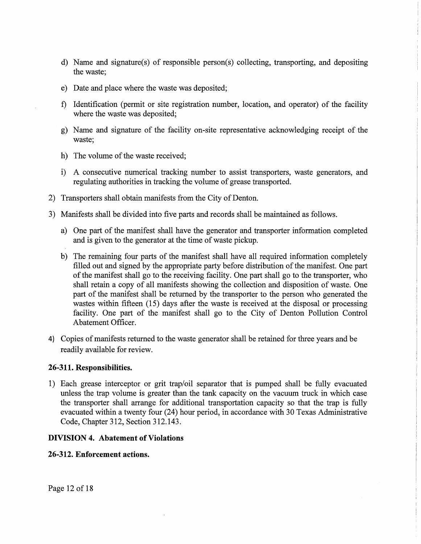- d) Name and signature(s) of responsible person(s) collecting, transporting, and depositing the waste;
- e) Date and place where the waste was deposited;
- f) Identification (permit or site registration number, location, and operator) of the facility where the waste was deposited;
- g) Name and signature of the facility on-site representative acknowledging receipt of the waste;
- h) The volume of the waste received;
- i) A consecutive numerical tracking number to assist transporters, waste generators, and regulating authorities in tracking the volume of grease transported.
- 2) Transporters shall obtain manifests from the City of Denton.
- 3) Manifests shall be divided into five parts and records shall be maintained as follows.
	- a) One part of the manifest shall have the generator and transporter information completed and is given to the generator at the time of waste pickup.
	- b) The remaining four parts of the manifest shall have all required information completely filled out and signed by the appropriate party before distribution of the manifest. One part of the manifest shall go to the receiving facility. One part shall go to the transporter, who shall retain a copy of all manifests showing the collection and disposition of waste. One part of the manifest shall be returned by the transporter to the person who generated the wastes within fifteen (15) days after the waste is received at the disposal or processing facility. One part of the manifest shall go to the City of Denton Pollution Control Abatement Officer.
- 4) Copies of manifests returned to the waste generator shall be retained for three years and be readily available for review.

## **26-311. Responsibilities.**

1) Each grease interceptor or grit trap/oil separator that is pumped shall be fully evacuated unless the trap volume is greater than the tank capacity on the vacuum truck in which case the transporter shall arrange for additional transportation capacity so that the trap is fully evacuated within a twenty four (24) hour period, in accordance with 30 Texas Administrative Code, Chapter 312, Section 312.143.

## **DIVISION 4. Abatement of Violations**

#### **26-312. Enforcement actions.**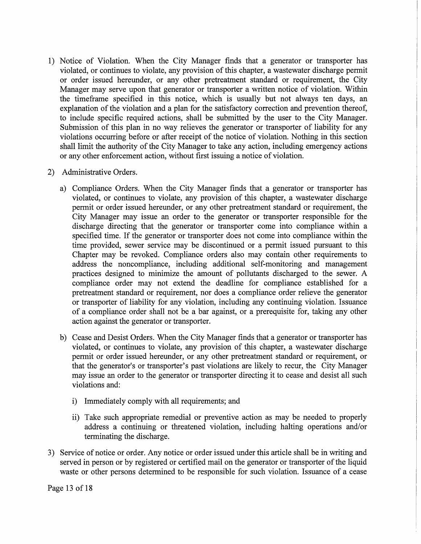1) Notice of Violation. When the City Manager finds that a generator or transporter has violated, or continues to violate, any provision of this chapter, a wastewater discharge permit or order issued hereunder, or any other pretreatment standard or requirement, the City Manager may serve upon that generator or transporter a written notice of violation. Within the timeframe specified in this notice, which is usually but not always ten days, an explanation of the violation and a plan for the satisfactory correction and prevention thereof, to include specific required actions, shall be submitted by the user to the City Manager. Submission of this plan in no way relieves the generator or transporter of liability for any violations occurring before or after receipt of the notice of violation. Nothing in this section shall limit the authority of the City Manager to take any action, including emergency actions or any other enforcement action, without first issuing a notice of violation.

# 2) Administrative Orders.

- a) Compliance Orders. When the City Manager finds that a generator or transporter has violated, or continues to violate, any provision of this chapter, a wastewater discharge permit or order issued hereunder, or any other pretreatment standard or requirement, the City Manager may issue an order to the generator or transporter responsible for the discharge directing that the generator or transporter come into compliance within a specified time. If the generator or transporter does not come into compliance within the time provided, sewer service may be discontinued or a permit issued pursuant to this Chapter may be revoked. Compliance orders also may contain other requirements to address the noncompliance, including additional self-monitoring and management practices designed to minimize the amount of pollutants discharged to the sewer. A compliance order may not extend the deadline for compliance established for a pretreatment standard or requirement, nor does a compliance order relieve the generator or transporter of liability for any violation, including any continuing violation. Issuance of a compliance order shall not be a bar against, or a prerequisite for, taking any other action against the generator or transporter.
- b) Cease and Desist Orders. When the City Manager finds that a generator or transporter has violated, or continues to violate, any provision of this chapter, a wastewater discharge permit or order issued hereunder, or any other pretreatment standard or requirement, or that the generator's or transporter's past violations are likely to recur, the City Manager may issue an order to the generator or transporter directing it to cease and desist all such violations and:
	- i) Immediately comply with all requirements; and
	- ii) Take such appropriate remedial or preventive action as may be needed to properly address a continuing or threatened violation, including halting operations and/or terminating the discharge.
- 3) Service of notice or order. Any notice or order issued under this article shall be in writing and served in person or by registered or certified mail on the generator or transporter of the liquid waste or other persons determined to be responsible for such violation. Issuance of a cease

Page 13 of 18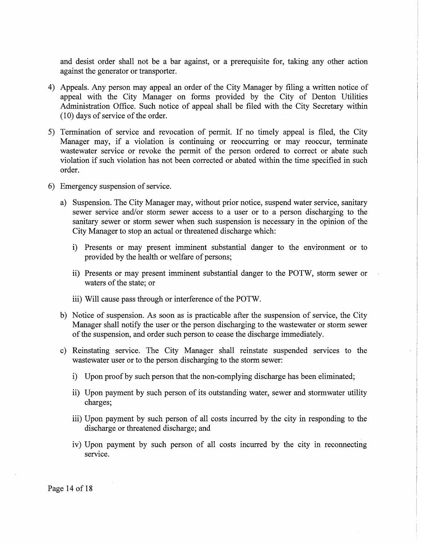and desist order shall not be a bar against, or a prerequisite for, taking any other action against the generator or transporter.

- 4) Appeals. Any person may appeal an order of the City Manager by filing a written notice of appeal with the City Manager on forms provided by the City of Denton Utilities Administration Office. Such notice of appeal shall be filed with the City Secretary within (10) days of service of the order.
- 5) Termination of service and revocation of permit. If no timely appeal is filed, the City Manager may, if a violation is continuing or reoccurring or may reoccur, terminate wastewater service or revoke the permit of the person ordered to correct or abate such violation if such violation has not been corrected or abated within the time specified in such order.
- 6) Emergency suspension of service.
	- a) Suspension. The City Manager may, without prior notice, suspend water service, sanitary sewer service and/or storm sewer access to a user or to a person discharging to the sanitary sewer or storm sewer when such suspension is necessary in the opinion of the City Manager to stop an actual or threatened discharge which:
		- i) Presents or may present imminent substantial danger to the environment or to provided by the health or welfare of persons;
		- ii) Presents or may present imminent substantial danger to the POTW, storm sewer or waters of the state; or
		- iii) Will cause pass through or interference of the POTW.
	- b) Notice of suspension. As soon as is practicable after the suspension of service, the City Manager shall notify the user or the person discharging to the wastewater or storm sewer of the suspension, and order such person to cease the discharge immediately.
	- c) Reinstating service. The City Manager shall reinstate suspended services to the wastewater user or to the person discharging to the storm sewer:
		- i) Upon proof by such person that the non-complying discharge has been eliminated;
		- ii) Upon payment by such person of its outstanding water, sewer and stormwater utility charges;
		- iii) Upon payment by such person of all costs incurred by the city in responding to the discharge or threatened discharge; and
		- iv) Upon payment by such person of all costs incurred by the city in reconnecting service.

Page 14 of 18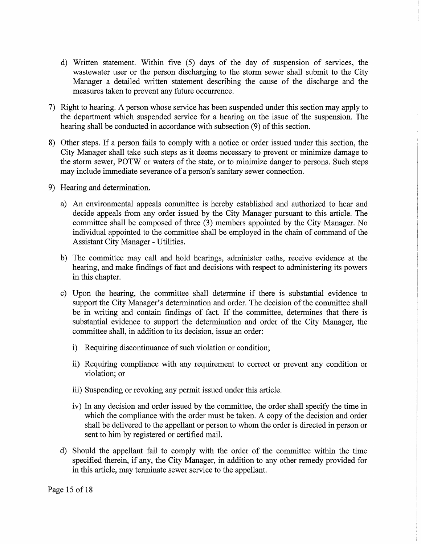- d) Written statement. Within five (5) days of the day of suspension of services, the wastewater user or the person discharging to the storm sewer shall submit to the City Manager a detailed written statement describing the cause of the discharge and the measures taken to prevent any future occurrence.
- 7) Right to hearing. A person whose service has been suspended under this section may apply to the department which suspended service for a hearing on the issue of the suspension. The hearing shall be conducted in accordance with subsection (9) of this section.
- 8) Other steps. If a person fails to comply with a notice or order issued under this section, the City Manager shall take such steps as it deems necessary to prevent or minimize damage to the storm sewer, POTW or waters of the state, or to minimize danger to persons. Such steps may include immediate severance of a person's sanitary sewer connection.
- 9) Hearing and determination.
	- a) An environmental appeals committee is hereby established and authorized to hear and decide appeals from any order issued by the City Manager pursuant to this article. The committee shall be composed of three (3) members appointed by the City Manager. No individual appointed to the committee shall be employed in the chain of command of the Assistant City Manager - Utilities.
	- b) The committee may call and hold hearings, administer oaths, receive evidence at the hearing, and make findings of fact and decisions with respect to administering its powers in this chapter.
	- c) Upon the hearing, the committee shall determine if there is substantial evidence to support the City Manager's determination and order. The decision of the committee shall be in writing and contain findings of fact. If the committee, determines that there is substantial evidence to support the determination and order of the City Manager, the committee shall, in addition to its decision, issue an order:
		- i) Requiring discontinuance of such violation or condition;
		- ii) Requiring compliance with any requirement to correct or prevent any condition or violation; or
		- iii) Suspending or revoking any permit issued under this article.
		- iv) In any decision and order issued by the committee, the order shall specify the time in which the compliance with the order must be taken. A copy of the decision and order shall be delivered to the appellant or person to whom the order is directed in person or sent to him by registered or certified mail.
	- d) Should the appellant fail to comply with the order of the committee within the time specified therein, if any, the City Manager, in addition to any other remedy provided for in this article, may terminate sewer service to the appellant.

Page 15 of 18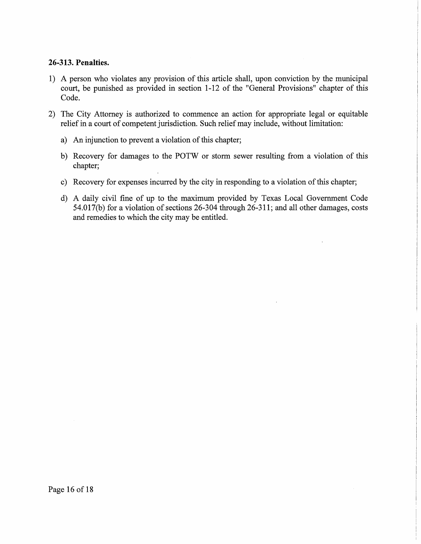# **26-313. Penalties.**

- 1) A person who violates any provision of this article shall, upon conviction by the municipal court, be punished as provided in section 1-12 of the "General Provisions" chapter of this Code.
- 2) The City Attorney is authorized to commence an action for appropriate legal or equitable relief in a court of competent jurisdiction. Such relief may include, without limitation:
	- a) An injunction to prevent a violation of this chapter;
	- b) Recovery for damages to the POTW or storm sewer resulting from a violation of this chapter;
	- c) Recovery for expenses incurred by the city in responding to a violation of this chapter;
	- d) A daily civil fine of up to the maximum provided by Texas Local Government Code 54.017(b) for a violation of sections 26-304 through 26-311; and all other damages, costs and remedies to which the city may be entitled.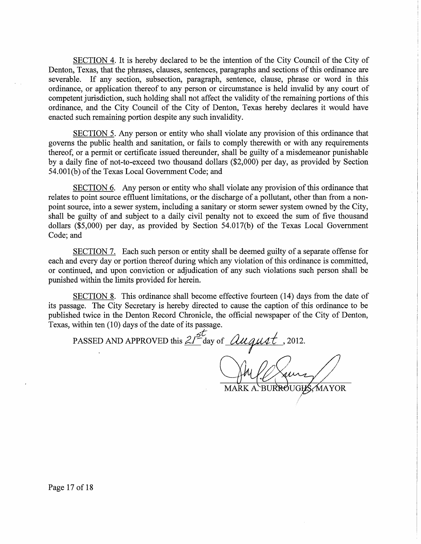SECTION 4. It is hereby declared to be the intention of the City Council of the City of Denton, Texas, that the phrases, clauses, sentences, paragraphs and sections of this ordinance are severable. If any section, subsection, paragraph, sentence, clause, phrase or word in this ordinance, or application thereof to any person or circumstance is held invalid by any court of competent jurisdiction, such holding shall not affect the validity of the remaining portions of this ordinance, and the City Council of the City of Denton, Texas hereby declares it would have enacted such remaining portion despite any such invalidity.

SECTION 5. Any person or entity who shall violate any provision of this ordinance that governs the public health and sanitation, or fails to comply therewith or with any requirements thereof, or a permit or certificate issued thereunder, shall be guilty of a misdemeanor punishable by a daily fine of not-to-exceed two thousand dollars (\$2,000) per day, as provided by Section 54.001(b) of the Texas Local Government Code; and

SECTION 6. Any person or entity who shall violate any provision of this ordinance that relates to point source effluent limitations, or the discharge of a pollutant, other than from a nonpoint source, into a sewer system, including a sanitary or storm sewer system owned by the City, shall be guilty of and subject to a daily civil penalty not to exceed the sum of five thousand dollars (\$5,000) per day, as provided by Section 54.017(b) of the Texas Local Government Code; and

SECTION 7. Each such person or entity shall be deemed guilty of a separate offense for each and every day or portion thereof during which any violation of this ordinance is committed, or continued, and upon conviction or adjudication of any such violations such person shall be punished within the limits provided for herein.

SECTION 8. This ordinance shall become effective fourteen (14) days from the date of its passage. The City Secretary is hereby directed to cause the caption of this ordinance to be published twice in the Denton Record Chronicle, the official newspaper of the City of Denton, Texas, within ten (10) days of the date of its passage.

*6t* PASSED AND APPROVED this <u>21<sup>st</sup></u> day of *Qugust*, 2012.

MARK A. BURROUGHS, MAYOR

Page 17 of 18